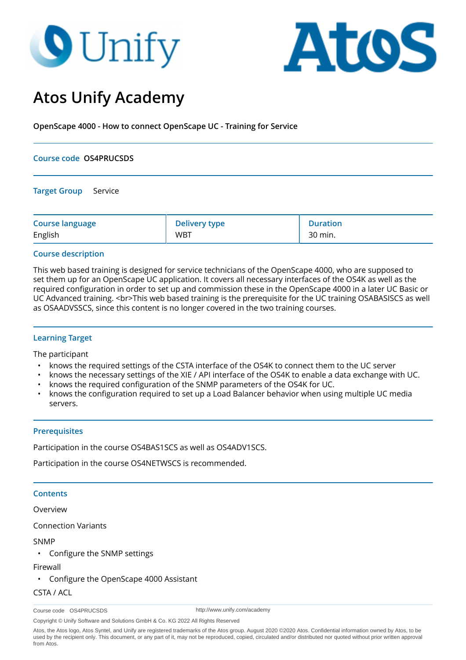# **O** Unify



# **Atos Unify Academy**

**OpenScape 4000 - How to connect OpenScape UC - Training for Service**

#### **Course code OS4PRUCSDS**

**Target Group** Service

| <b>Course language</b> | <b>Delivery type</b> | <b>Duration</b> |
|------------------------|----------------------|-----------------|
| English                | <b>WBT</b>           | 30 min.         |

## **Course description**

This web based training is designed for service technicians of the OpenScape 4000, who are supposed to set them up for an OpenScape UC application. It covers all necessary interfaces of the OS4K as well as the required configuration in order to set up and commission these in the OpenScape 4000 in a later UC Basic or UC Advanced training. <br>This web based training is the prerequisite for the UC training OSABASISCS as well as OSAADVSSCS, since this content is no longer covered in the two training courses.

#### **Learning Target**

The participant

- knows the required settings of the CSTA interface of the OS4K to connect them to the UC server
- knows the necessary settings of the XIE / API interface of the OS4K to enable a data exchange with UC.
- knows the required configuration of the SNMP parameters of the OS4K for UC.
- knows the configuration required to set up a Load Balancer behavior when using multiple UC media servers.

#### **Prerequisites**

Participation in the course OS4BAS1SCS as well as OS4ADV1SCS.

Participation in the course OS4NETWSCS is recommended.

#### **Contents**

Overview

Connection Variants

#### SNMP

• Configure the SNMP settings

Firewall

• Configure the OpenScape 4000 Assistant

# CSTA / ACL

http://www.unify.com/academy

Copyright © Unify Software and Solutions GmbH & Co. KG 2022 All Rights Reserved

Course code OS4PRUCSDS

Atos, the Atos logo, Atos Syntel, and Unify are registered trademarks of the Atos group. August 2020 ©2020 Atos. Confidential information owned by Atos, to be used by the recipient only. This document, or any part of it, may not be reproduced, copied, circulated and/or distributed nor quoted without prior written approval from Atos.